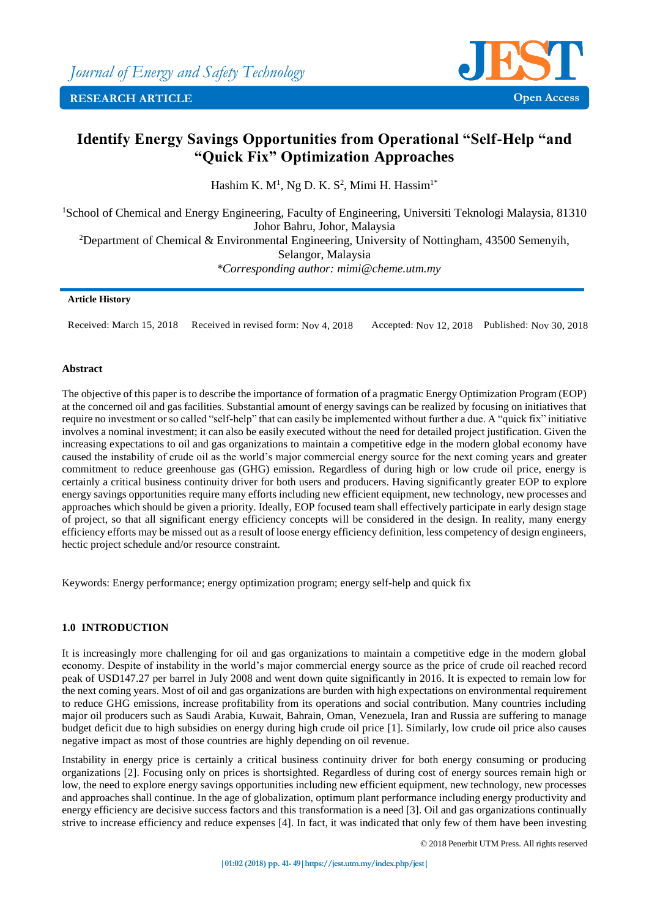

# **Identify Energy Savings Opportunities from Operational "Self-Help "and "Quick Fix" Optimization Approaches**

Hashim K.  $M<sup>1</sup>$ , Ng D. K. S<sup>2</sup>, Mimi H. Hassim<sup>1\*</sup>

<sup>1</sup>School of Chemical and Energy Engineering, Faculty of Engineering, Universiti Teknologi Malaysia, 81310 Johor Bahru, Johor, Malaysia <sup>2</sup>Department of Chemical & Environmental Engineering, University of Nottingham, 43500 Semenyih, Selangor, Malaysia *\*Corresponding author: mimi@cheme.utm.my*

## **Article History**

Received: March 15, 2018 Received in revised form: Nov 4, 2018 Accepted: Nov 12, 2018 Published: Nov 30, 2018

## **Abstract**

The objective of this paper is to describe the importance of formation of a pragmatic Energy Optimization Program (EOP) at the concerned oil and gas facilities. Substantial amount of energy savings can be realized by focusing on initiatives that require no investment or so called "self-help" that can easily be implemented without further a due. A "quick fix" initiative involves a nominal investment; it can also be easily executed without the need for detailed project justification. Given the increasing expectations to oil and gas organizations to maintain a competitive edge in the modern global economy have caused the instability of crude oil as the world's major commercial energy source for the next coming years and greater commitment to reduce greenhouse gas (GHG) emission. Regardless of during high or low crude oil price, energy is certainly a critical business continuity driver for both users and producers. Having significantly greater EOP to explore energy savings opportunities require many efforts including new efficient equipment, new technology, new processes and approaches which should be given a priority. Ideally, EOP focused team shall effectively participate in early design stage of project, so that all significant energy efficiency concepts will be considered in the design. In reality, many energy efficiency efforts may be missed out as a result of loose energy efficiency definition, less competency of design engineers, hectic project schedule and/or resource constraint.

Keywords: Energy performance; energy optimization program; energy self-help and quick fix

# **1.0 INTRODUCTION**

It is increasingly more challenging for oil and gas organizations to maintain a competitive edge in the modern global economy. Despite of instability in the world's major commercial energy source as the price of crude oil reached record peak of USD147.27 per barrel in July 2008 and went down quite significantly in 2016. It is expected to remain low for the next coming years. Most of oil and gas organizations are burden with high expectations on environmental requirement to reduce GHG emissions, increase profitability from its operations and social contribution. Many countries including major oil producers such as Saudi Arabia, Kuwait, Bahrain, Oman, Venezuela, Iran and Russia are suffering to manage budget deficit due to high subsidies on energy during high crude oil price [1]. Similarly, low crude oil price also causes negative impact as most of those countries are highly depending on oil revenue.

Instability in energy price is certainly a critical business continuity driver for both energy consuming or producing organizations [2]. Focusing only on prices is shortsighted. Regardless of during cost of energy sources remain high or low, the need to explore energy savings opportunities including new efficient equipment, new technology, new processes and approaches shall continue. In the age of globalization, optimum plant performance including energy productivity and energy efficiency are decisive success factors and this transformation is a need [3]. Oil and gas organizations continually strive to increase efficiency and reduce expenses [4]. In fact, it was indicated that only few of them have been investing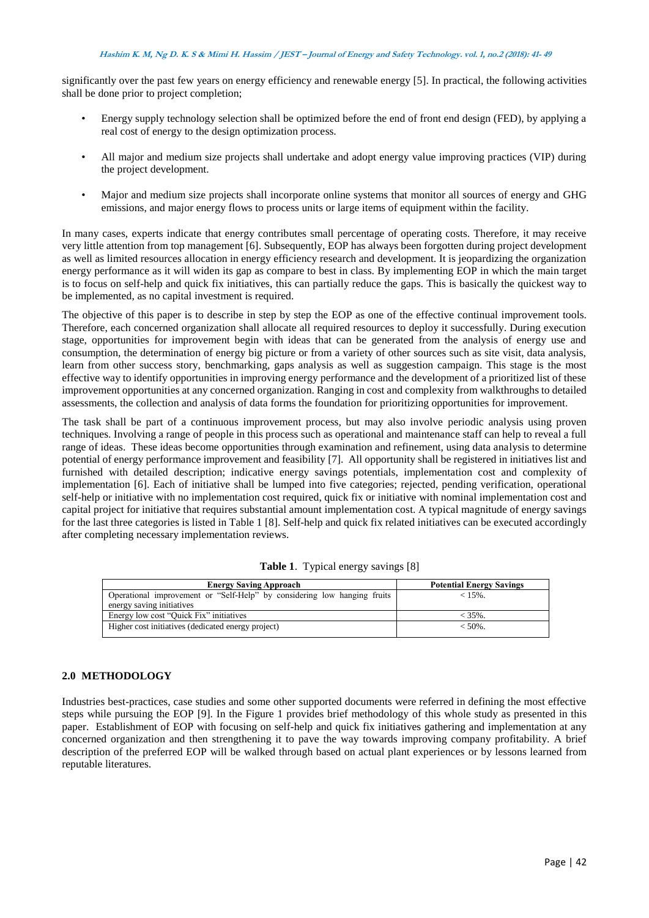significantly over the past few years on energy efficiency and renewable energy [5]. In practical, the following activities shall be done prior to project completion;

- Energy supply technology selection shall be optimized before the end of front end design (FED), by applying a real cost of energy to the design optimization process.
- All major and medium size projects shall undertake and adopt energy value improving practices (VIP) during the project development.
- Major and medium size projects shall incorporate online systems that monitor all sources of energy and GHG emissions, and major energy flows to process units or large items of equipment within the facility.

In many cases, experts indicate that energy contributes small percentage of operating costs. Therefore, it may receive very little attention from top management [6]. Subsequently, EOP has always been forgotten during project development as well as limited resources allocation in energy efficiency research and development. It is jeopardizing the organization energy performance as it will widen its gap as compare to best in class. By implementing EOP in which the main target is to focus on self-help and quick fix initiatives, this can partially reduce the gaps. This is basically the quickest way to be implemented, as no capital investment is required.

The objective of this paper is to describe in step by step the EOP as one of the effective continual improvement tools. Therefore, each concerned organization shall allocate all required resources to deploy it successfully. During execution stage, opportunities for improvement begin with ideas that can be generated from the analysis of energy use and consumption, the determination of energy big picture or from a variety of other sources such as site visit, data analysis, learn from other success story, benchmarking, gaps analysis as well as suggestion campaign. This stage is the most effective way to identify opportunities in improving energy performance and the development of a prioritized list of these improvement opportunities at any concerned organization. Ranging in cost and complexity from walkthroughs to detailed assessments, the collection and analysis of data forms the foundation for prioritizing opportunities for improvement.

The task shall be part of a continuous improvement process, but may also involve periodic analysis using proven techniques. Involving a range of people in this process such as operational and maintenance staff can help to reveal a full range of ideas. These ideas become opportunities through examination and refinement, using data analysis to determine potential of energy performance improvement and feasibility [7]. All opportunity shall be registered in initiatives list and furnished with detailed description; indicative energy savings potentials, implementation cost and complexity of implementation [6]. Each of initiative shall be lumped into five categories; rejected, pending verification, operational self-help or initiative with no implementation cost required, quick fix or initiative with nominal implementation cost and capital project for initiative that requires substantial amount implementation cost. A typical magnitude of energy savings for the last three categories is listed in Table 1 [8]. Self-help and quick fix related initiatives can be executed accordingly after completing necessary implementation reviews.

| <b>Energy Saving Approach</b>                                            | <b>Potential Energy Savings</b> |  |
|--------------------------------------------------------------------------|---------------------------------|--|
| Operational improvement or "Self-Help" by considering low hanging fruits | $< 15\%$ .                      |  |
| energy saving initiatives                                                |                                 |  |
| Energy low cost "Quick Fix" initiatives                                  | $< 35\%$ .                      |  |
| Higher cost initiatives (dedicated energy project)                       | $< 50\%$ .                      |  |

**Table 1**. Typical energy savings [8]

## **2.0 METHODOLOGY**

Industries best-practices, case studies and some other supported documents were referred in defining the most effective steps while pursuing the EOP [9]. In the Figure 1 provides brief methodology of this whole study as presented in this paper. Establishment of EOP with focusing on self-help and quick fix initiatives gathering and implementation at any concerned organization and then strengthening it to pave the way towards improving company profitability. A brief description of the preferred EOP will be walked through based on actual plant experiences or by lessons learned from reputable literatures.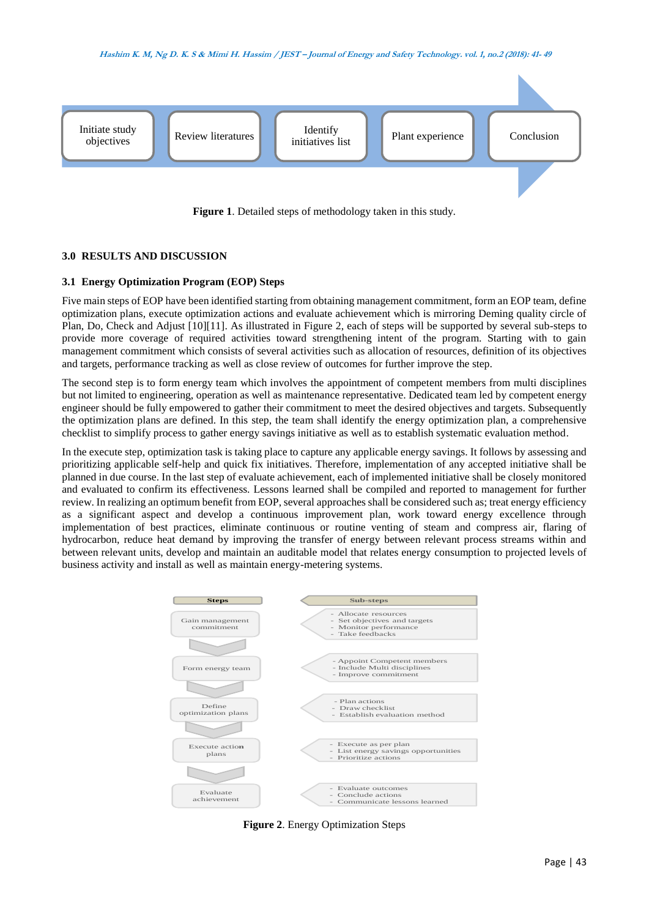



**Figure 1**. Detailed steps of methodology taken in this study.

# **3.0 RESULTS AND DISCUSSION**

# **3.1 Energy Optimization Program (EOP) Steps**

Five main steps of EOP have been identified starting from obtaining management commitment, form an EOP team, define optimization plans, execute optimization actions and evaluate achievement which is mirroring Deming quality circle of Plan, Do, Check and Adjust [10][11]. As illustrated in Figure 2, each of steps will be supported by several sub-steps to provide more coverage of required activities toward strengthening intent of the program. Starting with to gain management commitment which consists of several activities such as allocation of resources, definition of its objectives and targets, performance tracking as well as close review of outcomes for further improve the step.

The second step is to form energy team which involves the appointment of competent members from multi disciplines but not limited to engineering, operation as well as maintenance representative. Dedicated team led by competent energy engineer should be fully empowered to gather their commitment to meet the desired objectives and targets. Subsequently the optimization plans are defined. In this step, the team shall identify the energy optimization plan, a comprehensive checklist to simplify process to gather energy savings initiative as well as to establish systematic evaluation method.

In the execute step, optimization task is taking place to capture any applicable energy savings. It follows by assessing and prioritizing applicable self-help and quick fix initiatives. Therefore, implementation of any accepted initiative shall be planned in due course. In the last step of evaluate achievement, each of implemented initiative shall be closely monitored and evaluated to confirm its effectiveness. Lessons learned shall be compiled and reported to management for further review. In realizing an optimum benefit from EOP, several approaches shall be considered such as; treat energy efficiency as a significant aspect and develop a continuous improvement plan, work toward energy excellence through implementation of best practices, eliminate continuous or routine venting of steam and compress air, flaring of hydrocarbon, reduce heat demand by improving the transfer of energy between relevant process streams within and between relevant units, develop and maintain an auditable model that relates energy consumption to projected levels of business activity and install as well as maintain energy-metering systems.



**Figure 2**. Energy Optimization Steps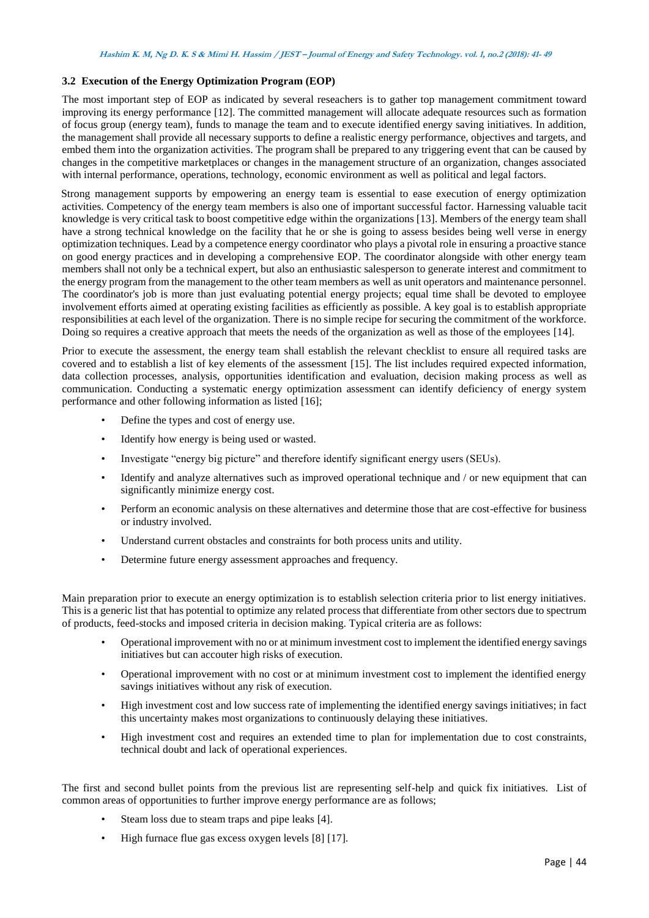## **3.2 Execution of the Energy Optimization Program (EOP)**

The most important step of EOP as indicated by several reseachers is to gather top management commitment toward improving its energy performance [12]. The committed management will allocate adequate resources such as formation of focus group (energy team), funds to manage the team and to execute identified energy saving initiatives. In addition, the management shall provide all necessary supports to define a realistic energy performance, objectives and targets, and embed them into the organization activities. The program shall be prepared to any triggering event that can be caused by changes in the competitive marketplaces or changes in the management structure of an organization, changes associated with internal performance, operations, technology, economic environment as well as political and legal factors.

Strong management supports by empowering an energy team is essential to ease execution of energy optimization activities. Competency of the energy team members is also one of important successful factor. Harnessing valuable tacit knowledge is very critical task to boost competitive edge within the organizations [13]. Members of the energy team shall have a strong technical knowledge on the facility that he or she is going to assess besides being well verse in energy optimization techniques. Lead by a competence energy coordinator who plays a pivotal role in ensuring a proactive stance on good energy practices and in developing a comprehensive EOP. The coordinator alongside with other energy team members shall not only be a technical expert, but also an enthusiastic salesperson to generate interest and commitment to the energy program from the management to the other team members as well as unit operators and maintenance personnel. The coordinator's job is more than just evaluating potential energy projects; equal time shall be devoted to employee involvement efforts aimed at operating existing facilities as efficiently as possible. A key goal is to establish appropriate responsibilities at each level of the organization. There is no simple recipe for securing the commitment of the workforce. Doing so requires a creative approach that meets the needs of the organization as well as those of the employees [14].

Prior to execute the assessment, the energy team shall establish the relevant checklist to ensure all required tasks are covered and to establish a list of key elements of the assessment [15]. The list includes required expected information, data collection processes, analysis, opportunities identification and evaluation, decision making process as well as communication. Conducting a systematic energy optimization assessment can identify deficiency of energy system performance and other following information as listed [16];

- Define the types and cost of energy use.
- Identify how energy is being used or wasted.
- Investigate "energy big picture" and therefore identify significant energy users (SEUs).
- Identify and analyze alternatives such as improved operational technique and / or new equipment that can significantly minimize energy cost.
- Perform an economic analysis on these alternatives and determine those that are cost-effective for business or industry involved.
- Understand current obstacles and constraints for both process units and utility.
- Determine future energy assessment approaches and frequency.

Main preparation prior to execute an energy optimization is to establish selection criteria prior to list energy initiatives. This is a generic list that has potential to optimize any related process that differentiate from other sectors due to spectrum of products, feed-stocks and imposed criteria in decision making. Typical criteria are as follows:

- Operational improvement with no or at minimum investment cost to implement the identified energy savings initiatives but can accouter high risks of execution.
- Operational improvement with no cost or at minimum investment cost to implement the identified energy savings initiatives without any risk of execution.
- High investment cost and low success rate of implementing the identified energy savings initiatives; in fact this uncertainty makes most organizations to continuously delaying these initiatives.
- High investment cost and requires an extended time to plan for implementation due to cost constraints, technical doubt and lack of operational experiences.

The first and second bullet points from the previous list are representing self-help and quick fix initiatives. List of common areas of opportunities to further improve energy performance are as follows;

- Steam loss due to steam traps and pipe leaks [4].
- High furnace flue gas excess oxygen levels [8] [17].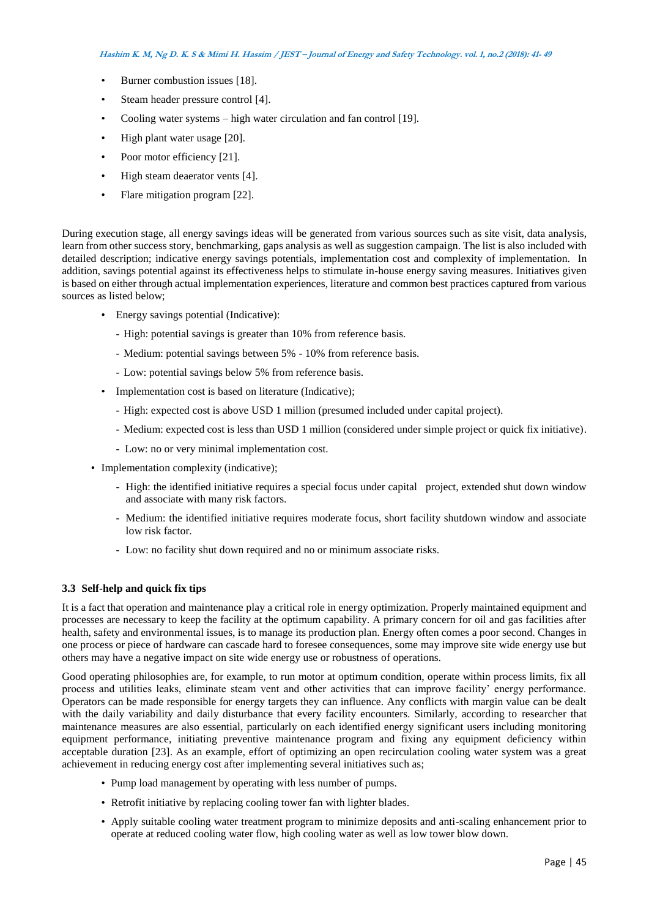- Burner combustion issues [18].
- Steam header pressure control [4].
- Cooling water systems high water circulation and fan control [19].
- High plant water usage [20].
- Poor motor efficiency [21].
- High steam deaerator vents [4].
- Flare mitigation program [22].

During execution stage, all energy savings ideas will be generated from various sources such as site visit, data analysis, learn from other success story, benchmarking, gaps analysis as well as suggestion campaign. The list is also included with detailed description; indicative energy savings potentials, implementation cost and complexity of implementation. In addition, savings potential against its effectiveness helps to stimulate in-house energy saving measures. Initiatives given is based on either through actual implementation experiences, literature and common best practices captured from various sources as listed below;

- Energy savings potential (Indicative):
	- High: potential savings is greater than 10% from reference basis.
	- Medium: potential savings between 5% 10% from reference basis.
	- Low: potential savings below 5% from reference basis.
- Implementation cost is based on literature (Indicative):
	- High: expected cost is above USD 1 million (presumed included under capital project).
	- Medium: expected cost is less than USD 1 million (considered under simple project or quick fix initiative).
	- Low: no or very minimal implementation cost.
- Implementation complexity (indicative);
	- High: the identified initiative requires a special focus under capital project, extended shut down window and associate with many risk factors.
	- Medium: the identified initiative requires moderate focus, short facility shutdown window and associate low risk factor.
	- Low: no facility shut down required and no or minimum associate risks.

## **3.3 Self-help and quick fix tips**

It is a fact that operation and maintenance play a critical role in energy optimization. Properly maintained equipment and processes are necessary to keep the facility at the optimum capability. A primary concern for oil and gas facilities after health, safety and environmental issues, is to manage its production plan. Energy often comes a poor second. Changes in one process or piece of hardware can cascade hard to foresee consequences, some may improve site wide energy use but others may have a negative impact on site wide energy use or robustness of operations.

Good operating philosophies are, for example, to run motor at optimum condition, operate within process limits, fix all process and utilities leaks, eliminate steam vent and other activities that can improve facility' energy performance. Operators can be made responsible for energy targets they can influence. Any conflicts with margin value can be dealt with the daily variability and daily disturbance that every facility encounters. Similarly, according to researcher that maintenance measures are also essential, particularly on each identified energy significant users including monitoring equipment performance, initiating preventive maintenance program and fixing any equipment deficiency within acceptable duration [23]. As an example, effort of optimizing an open recirculation cooling water system was a great achievement in reducing energy cost after implementing several initiatives such as;

- Pump load management by operating with less number of pumps.
- Retrofit initiative by replacing cooling tower fan with lighter blades.
- Apply suitable cooling water treatment program to minimize deposits and anti-scaling enhancement prior to operate at reduced cooling water flow, high cooling water as well as low tower blow down.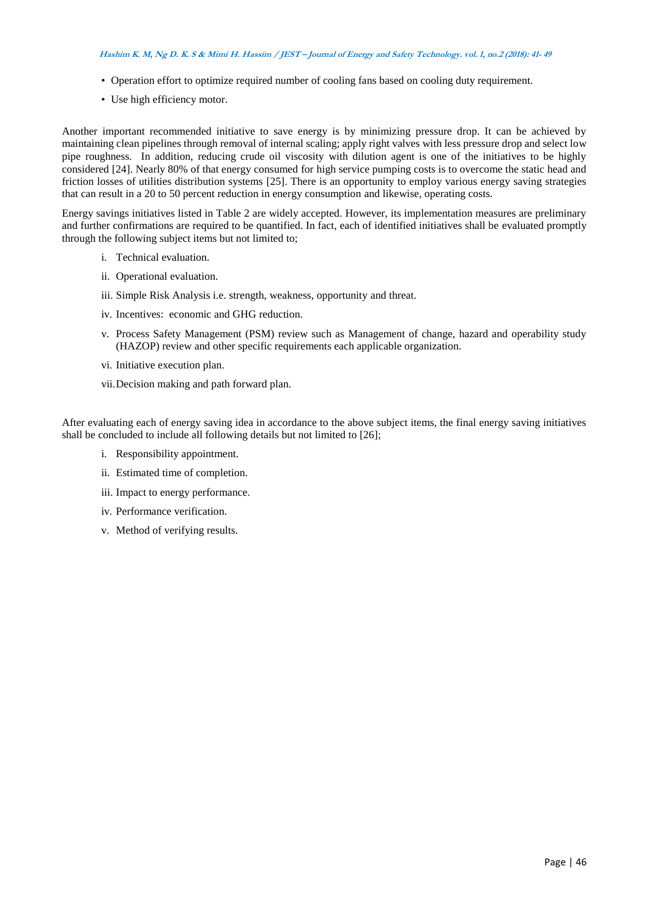#### **Hashim K. M, Ng D. K. S & Mimi H. Hassim / JEST – Journal of Energy and Safety Technology. vol. 1, no.2 (2018): 41- <sup>49</sup>**

- Operation effort to optimize required number of cooling fans based on cooling duty requirement.
- Use high efficiency motor.

Another important recommended initiative to save energy is by minimizing pressure drop. It can be achieved by maintaining clean pipelines through removal of internal scaling; apply right valves with less pressure drop and select low pipe roughness. In addition, reducing crude oil viscosity with dilution agent is one of the initiatives to be highly considered [24]. Nearly 80% of that energy consumed for high service pumping costs is to overcome the static head and friction losses of utilities distribution systems [25]. There is an opportunity to employ various energy saving strategies that can result in a 20 to 50 percent reduction in energy consumption and likewise, operating costs.

Energy savings initiatives listed in Table 2 are widely accepted. However, its implementation measures are preliminary and further confirmations are required to be quantified. In fact, each of identified initiatives shall be evaluated promptly through the following subject items but not limited to;

- i. Technical evaluation.
- ii. Operational evaluation.
- iii. Simple Risk Analysis i.e. strength, weakness, opportunity and threat.
- iv. Incentives: economic and GHG reduction.
- v. Process Safety Management (PSM) review such as Management of change, hazard and operability study (HAZOP) review and other specific requirements each applicable organization.
- vi. Initiative execution plan.
- vii.Decision making and path forward plan.

After evaluating each of energy saving idea in accordance to the above subject items, the final energy saving initiatives shall be concluded to include all following details but not limited to [26];

- i. Responsibility appointment.
- ii. Estimated time of completion.
- iii. Impact to energy performance.
- iv. Performance verification.
- v. Method of verifying results.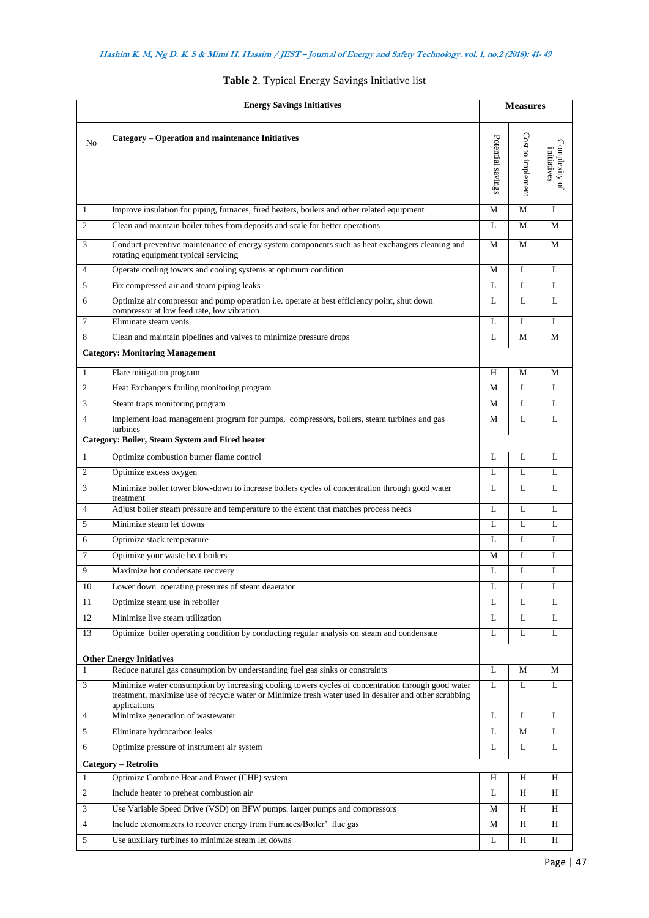|                | <b>Energy Savings Initiatives</b>                                                                                                                                                                                           |                   | <b>Measures</b>   |                             |  |
|----------------|-----------------------------------------------------------------------------------------------------------------------------------------------------------------------------------------------------------------------------|-------------------|-------------------|-----------------------------|--|
| N <sub>o</sub> | Category - Operation and maintenance Initiatives                                                                                                                                                                            | Potential savings | Cost to implement | Complexity of<br>initatives |  |
| $\mathbf{1}$   | Improve insulation for piping, furnaces, fired heaters, boilers and other related equipment                                                                                                                                 | М                 | M                 | L                           |  |
| $\overline{c}$ | Clean and maintain boiler tubes from deposits and scale for better operations                                                                                                                                               | L                 | М                 | M                           |  |
| 3              | Conduct preventive maintenance of energy system components such as heat exchangers cleaning and<br>rotating equipment typical servicing                                                                                     | M                 | M                 | M                           |  |
| $\overline{4}$ | Operate cooling towers and cooling systems at optimum condition                                                                                                                                                             |                   | L                 | L                           |  |
| 5              | Fix compressed air and steam piping leaks                                                                                                                                                                                   | L                 | L                 | L                           |  |
| 6              | Optimize air compressor and pump operation i.e. operate at best efficiency point, shut down<br>compressor at low feed rate, low vibration                                                                                   |                   | L                 | L                           |  |
| 7              | Eliminate steam vents                                                                                                                                                                                                       | L                 | L                 | $\mathbf{L}$                |  |
| 8              | Clean and maintain pipelines and valves to minimize pressure drops                                                                                                                                                          | L                 | M                 | M                           |  |
|                | <b>Category: Monitoring Management</b>                                                                                                                                                                                      |                   |                   |                             |  |
| $\mathbf{1}$   | Flare mitigation program                                                                                                                                                                                                    | H                 | М                 | M                           |  |
| $\mathfrak{2}$ | Heat Exchangers fouling monitoring program                                                                                                                                                                                  | M                 | L                 | L                           |  |
| 3              | Steam traps monitoring program                                                                                                                                                                                              | M                 | $\mathbf{L}$      | L                           |  |
| 4              | Implement load management program for pumps, compressors, boilers, steam turbines and gas<br>turbines                                                                                                                       | M                 | L                 | L                           |  |
|                | Category: Boiler, Steam System and Fired heater                                                                                                                                                                             |                   |                   |                             |  |
| $\mathbf{1}$   | Optimize combustion burner flame control                                                                                                                                                                                    | L                 | L                 | L                           |  |
| $\mathfrak{2}$ | Optimize excess oxygen                                                                                                                                                                                                      | L                 | L                 | L                           |  |
| 3              | Minimize boiler tower blow-down to increase boilers cycles of concentration through good water<br>treatment                                                                                                                 | L                 | $\mathbf{L}$      | L                           |  |
| $\overline{4}$ | Adjust boiler steam pressure and temperature to the extent that matches process needs                                                                                                                                       | L                 | L                 | L                           |  |
| 5              | Minimize steam let downs                                                                                                                                                                                                    | L                 | L                 | L                           |  |
| 6              | Optimize stack temperature                                                                                                                                                                                                  | L                 | L                 | L                           |  |
| $\tau$         | Optimize your waste heat boilers                                                                                                                                                                                            | М                 | L                 | L                           |  |
| 9              | Maximize hot condensate recovery                                                                                                                                                                                            | L                 | L                 | L                           |  |
| $10\,$         | Lower down operating pressures of steam deaerator                                                                                                                                                                           | L                 | L                 | L                           |  |
| 11             | Optimize steam use in reboiler                                                                                                                                                                                              | L                 | L                 | L                           |  |
| 12             | Minimize live steam utilization                                                                                                                                                                                             | L                 | L                 | L                           |  |
| 13             | Optimize boiler operating condition by conducting regular analysis on steam and condensate                                                                                                                                  | L                 | L                 | L                           |  |
|                | <b>Other Energy Initiatives</b>                                                                                                                                                                                             |                   |                   |                             |  |
| $\mathbf{1}$   | Reduce natural gas consumption by understanding fuel gas sinks or constraints                                                                                                                                               | L                 | M                 | M                           |  |
| 3              | Minimize water consumption by increasing cooling towers cycles of concentration through good water<br>treatment, maximize use of recycle water or Minimize fresh water used in desalter and other scrubbing<br>applications | L                 | L                 | L                           |  |
| $\overline{4}$ | Minimize generation of wastewater                                                                                                                                                                                           | L                 | L                 | L                           |  |
| 5              | Eliminate hydrocarbon leaks                                                                                                                                                                                                 | L                 | М                 | L                           |  |
| 6              | Optimize pressure of instrument air system                                                                                                                                                                                  | L                 | L                 | L                           |  |
|                | <b>Category - Retrofits</b>                                                                                                                                                                                                 |                   |                   |                             |  |
| $\mathbf{1}$   | Optimize Combine Heat and Power (CHP) system                                                                                                                                                                                | H                 | H                 | H                           |  |
| $\mathfrak{2}$ | Include heater to preheat combustion air                                                                                                                                                                                    | L                 | $\rm H$           | H                           |  |
| $\mathfrak{Z}$ | Use Variable Speed Drive (VSD) on BFW pumps. larger pumps and compressors                                                                                                                                                   | M                 | H                 | H                           |  |
| $\overline{4}$ | Include economizers to recover energy from Furnaces/Boiler' flue gas                                                                                                                                                        | М                 | H                 | H                           |  |
| 5              | Use auxiliary turbines to minimize steam let downs                                                                                                                                                                          | L                 | H                 | H                           |  |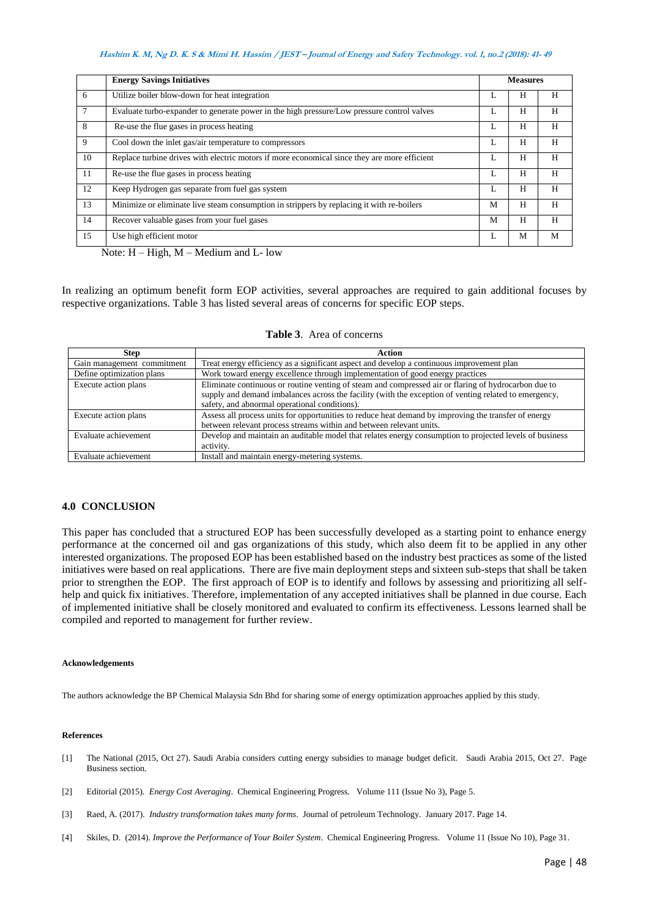#### **Hashim K. M, Ng D. K. S & Mimi H. Hassim / JEST – Journal of Energy and Safety Technology. vol. 1, no.2 (2018): 41- <sup>49</sup>**

|    | <b>Energy Savings Initiatives</b>                                                            | <b>Measures</b> |   |   |
|----|----------------------------------------------------------------------------------------------|-----------------|---|---|
| 6  | Utilize boiler blow-down for heat integration                                                |                 | H | H |
| 7  | Evaluate turbo-expander to generate power in the high pressure/Low pressure control valves   |                 | H | H |
| 8  | Re-use the flue gases in process heating                                                     |                 | H | Н |
| 9  | Cool down the inlet gas/air temperature to compressors                                       | л.              | H | H |
| 10 | Replace turbine drives with electric motors if more economical since they are more efficient |                 | H | H |
| 11 | Re-use the flue gases in process heating                                                     |                 | H | H |
| 12 | Keep Hydrogen gas separate from fuel gas system                                              |                 | H | H |
| 13 | Minimize or eliminate live steam consumption in strippers by replacing it with re-boilers    | M               | H | H |
| 14 | Recover valuable gases from your fuel gases                                                  | M               | H | H |
| 15 | Use high efficient motor                                                                     |                 | M | M |

Note: H – High, M – Medium and L- low

In realizing an optimum benefit form EOP activities, several approaches are required to gain additional focuses by respective organizations. Table 3 has listed several areas of concerns for specific EOP steps.

| <b>Step</b>                | Action                                                                                                  |
|----------------------------|---------------------------------------------------------------------------------------------------------|
| Gain management commitment | Treat energy efficiency as a significant aspect and develop a continuous improvement plan               |
| Define optimization plans  | Work toward energy excellence through implementation of good energy practices                           |
| Execute action plans       | Eliminate continuous or routine venting of steam and compressed air or flaring of hydrocarbon due to    |
|                            | supply and demand imbalances across the facility (with the exception of venting related to emergency,   |
|                            | safety, and abnormal operational conditions).                                                           |
| Execute action plans       | Assess all process units for opportunities to reduce heat demand by improving the transfer of energy    |
|                            | between relevant process streams within and between relevant units.                                     |
| Evaluate achievement       | Develop and maintain an auditable model that relates energy consumption to projected levels of business |
|                            | activity.                                                                                               |
| Evaluate achievement       | Install and maintain energy-metering systems.                                                           |

## **Table 3**. Area of concerns

# **4.0 CONCLUSION**

This paper has concluded that a structured EOP has been successfully developed as a starting point to enhance energy performance at the concerned oil and gas organizations of this study, which also deem fit to be applied in any other interested organizations. The proposed EOP has been established based on the industry best practices as some of the listed initiatives were based on real applications. There are five main deployment steps and sixteen sub-steps that shall be taken prior to strengthen the EOP. The first approach of EOP is to identify and follows by assessing and prioritizing all selfhelp and quick fix initiatives. Therefore, implementation of any accepted initiatives shall be planned in due course. Each of implemented initiative shall be closely monitored and evaluated to confirm its effectiveness. Lessons learned shall be compiled and reported to management for further review.

#### **Acknowledgements**

The authors acknowledge the BP Chemical Malaysia Sdn Bhd for sharing some of energy optimization approaches applied by this study.

#### **References**

- [1] The National (2015, Oct 27). Saudi Arabia considers cutting energy subsidies to manage budget deficit. Saudi Arabia 2015, Oct 27. Page Business section.
- [2] Editorial (2015). *Energy Cost Averaging*. Chemical Engineering Progress. Volume 111 (Issue No 3), Page 5.
- [3] Raed, A. (2017). *Industry transformation takes many forms*. Journal of petroleum Technology. January 2017. Page 14.
- [4] Skiles, D. (2014). *Improve the Performance of Your Boiler System*. Chemical Engineering Progress. Volume 11 (Issue No 10), Page 31.